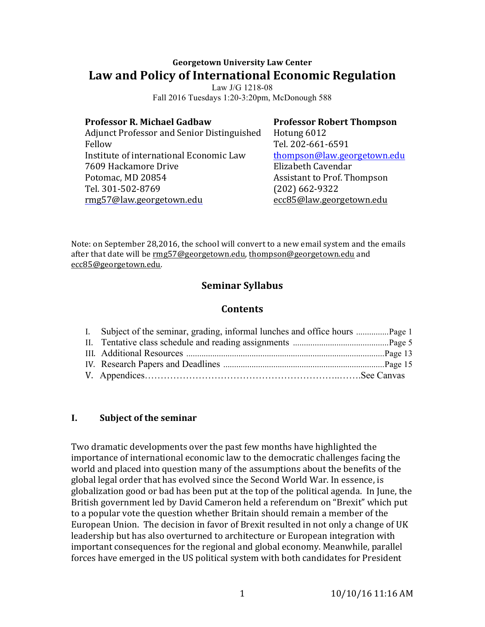# **Georgetown University Law Center Law and Policy of International Economic Regulation**

Law J/G 1218-08 Fall 2016 Tuesdays 1:20-3:20pm, McDonough 588

#### **Professor R. Michael Gadbaw**

Adjunct Professor and Senior Distinguished Fellow Institute of international Economic Law 7609 Hackamore Drive Potomac, MD 20854 Tel. 301-502-8769 rmg57@law.georgetown.edu

**Professor Robert Thompson** Hotung 6012 Tel. 202-661-6591 thompson@law.georgetown.edu Elizabeth Cavendar Assistant to Prof. Thompson (202) 662-9322 ecc85@law.georgetown.edu

Note: on September 28,2016, the school will convert to a new email system and the emails after that date will be rmg57@georgetown.edu, thompson@georgetown.edu and ecc85@georgetown.edu.

# **Seminar Syllabus**

### **Contents**

#### **I. Subject of the seminar**

Two dramatic developments over the past few months have highlighted the importance of international economic law to the democratic challenges facing the world and placed into question many of the assumptions about the benefits of the global legal order that has evolved since the Second World War. In essence, is globalization good or bad has been put at the top of the political agenda. In June, the British government led by David Cameron held a referendum on "Brexit" which put to a popular vote the question whether Britain should remain a member of the European Union. The decision in favor of Brexit resulted in not only a change of UK leadership but has also overturned to architecture or European integration with important consequences for the regional and global economy. Meanwhile, parallel forces have emerged in the US political system with both candidates for President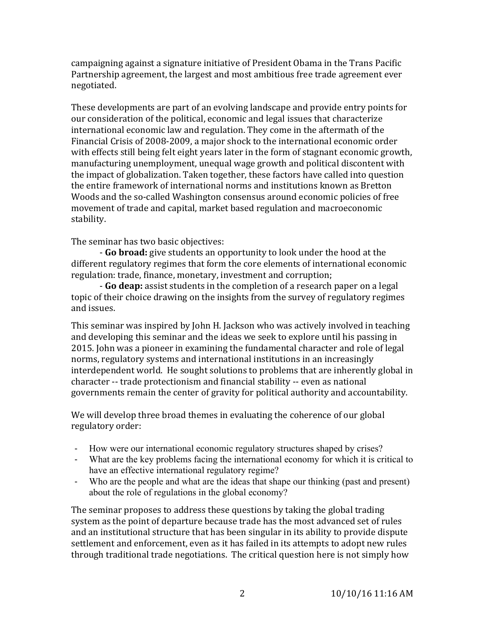campaigning against a signature initiative of President Obama in the Trans Pacific Partnership agreement, the largest and most ambitious free trade agreement ever negotiated.

These developments are part of an evolving landscape and provide entry points for our consideration of the political, economic and legal issues that characterize international economic law and regulation. They come in the aftermath of the Financial Crisis of 2008-2009, a major shock to the international economic order with effects still being felt eight years later in the form of stagnant economic growth, manufacturing unemployment, unequal wage growth and political discontent with the impact of globalization. Taken together, these factors have called into question the entire framework of international norms and institutions known as Bretton Woods and the so-called Washington consensus around economic policies of free movement of trade and capital, market based regulation and macroeconomic stability.

The seminar has two basic objectives:

- **Go broad:** give students an opportunity to look under the hood at the different regulatory regimes that form the core elements of international economic regulation: trade, finance, monetary, investment and corruption;

- **Go deap:** assist students in the completion of a research paper on a legal topic of their choice drawing on the insights from the survey of regulatory regimes and issues. 

This seminar was inspired by John H. Jackson who was actively involved in teaching and developing this seminar and the ideas we seek to explore until his passing in 2015. John was a pioneer in examining the fundamental character and role of legal norms, regulatory systems and international institutions in an increasingly interdependent world. He sought solutions to problems that are inherently global in character -- trade protectionism and financial stability -- even as national governments remain the center of gravity for political authority and accountability.

We will develop three broad themes in evaluating the coherence of our global regulatory order:

- How were our international economic regulatory structures shaped by crises?
- What are the key problems facing the international economy for which it is critical to have an effective international regulatory regime?
- Who are the people and what are the ideas that shape our thinking (past and present) about the role of regulations in the global economy?

The seminar proposes to address these questions by taking the global trading system as the point of departure because trade has the most advanced set of rules and an institutional structure that has been singular in its ability to provide dispute settlement and enforcement, even as it has failed in its attempts to adopt new rules through traditional trade negotiations. The critical question here is not simply how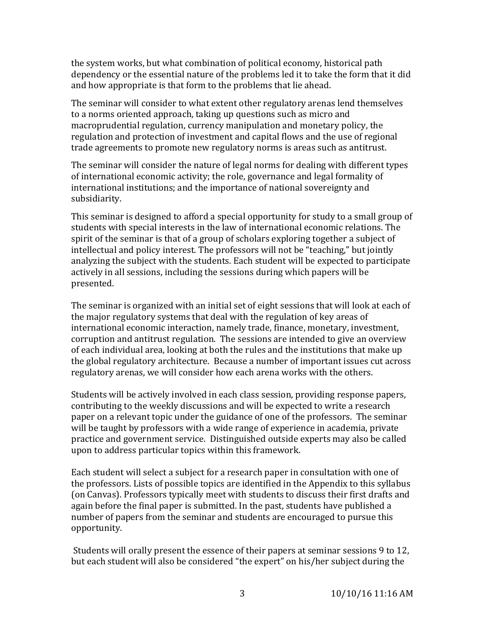the system works, but what combination of political economy, historical path dependency or the essential nature of the problems led it to take the form that it did and how appropriate is that form to the problems that lie ahead.

The seminar will consider to what extent other regulatory arenas lend themselves to a norms oriented approach, taking up questions such as micro and macroprudential regulation, currency manipulation and monetary policy, the regulation and protection of investment and capital flows and the use of regional trade agreements to promote new regulatory norms is areas such as antitrust.

The seminar will consider the nature of legal norms for dealing with different types of international economic activity; the role, governance and legal formality of international institutions; and the importance of national sovereignty and subsidiarity.

This seminar is designed to afford a special opportunity for study to a small group of students with special interests in the law of international economic relations. The spirit of the seminar is that of a group of scholars exploring together a subject of intellectual and policy interest. The professors will not be "teaching," but jointly analyzing the subject with the students. Each student will be expected to participate actively in all sessions, including the sessions during which papers will be presented.

The seminar is organized with an initial set of eight sessions that will look at each of the major regulatory systems that deal with the regulation of key areas of international economic interaction, namely trade, finance, monetary, investment, corruption and antitrust regulation. The sessions are intended to give an overview of each individual area, looking at both the rules and the institutions that make up the global regulatory architecture. Because a number of important issues cut across regulatory arenas, we will consider how each arena works with the others.

Students will be actively involved in each class session, providing response papers, contributing to the weekly discussions and will be expected to write a research paper on a relevant topic under the guidance of one of the professors. The seminar will be taught by professors with a wide range of experience in academia, private practice and government service. Distinguished outside experts may also be called upon to address particular topics within this framework.

Each student will select a subject for a research paper in consultation with one of the professors. Lists of possible topics are identified in the Appendix to this syllabus (on Canvas). Professors typically meet with students to discuss their first drafts and again before the final paper is submitted. In the past, students have published a number of papers from the seminar and students are encouraged to pursue this opportunity.

Students will orally present the essence of their papers at seminar sessions 9 to 12, but each student will also be considered "the expert" on his/her subject during the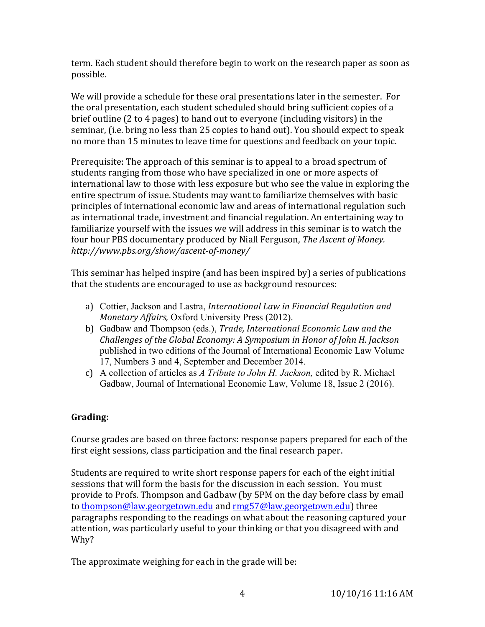term. Each student should therefore begin to work on the research paper as soon as possible.

We will provide a schedule for these oral presentations later in the semester. For the oral presentation, each student scheduled should bring sufficient copies of a brief outline (2 to 4 pages) to hand out to everyone (including visitors) in the seminar, (i.e. bring no less than 25 copies to hand out). You should expect to speak no more than 15 minutes to leave time for questions and feedback on your topic. 

Prerequisite: The approach of this seminar is to appeal to a broad spectrum of students ranging from those who have specialized in one or more aspects of international law to those with less exposure but who see the value in exploring the entire spectrum of issue. Students may want to familiarize themselves with basic principles of international economic law and areas of international regulation such as international trade, investment and financial regulation. An entertaining way to familiarize yourself with the issues we will address in this seminar is to watch the four hour PBS documentary produced by Niall Ferguson, *The Ascent of Money. http://www.pbs.org/show/ascent-of-money/*

This seminar has helped inspire (and has been inspired by) a series of publications that the students are encouraged to use as background resources:

- a) Cottier, Jackson and Lastra, *International Law in Financial Regulation and Monetary Affairs,* Oxford University Press (2012).
- b) Gadbaw and Thompson (eds.), *Trade, International Economic Law and the Challenges of the Global Economy: A Symposium in Honor of John H. Jackson* published in two editions of the Journal of International Economic Law Volume 17, Numbers 3 and 4, September and December 2014.
- c) A collection of articles as *A Tribute to John H. Jackson,* edited by R. Michael Gadbaw, Journal of International Economic Law, Volume 18, Issue 2 (2016).

# **Grading:**

Course grades are based on three factors: response papers prepared for each of the first eight sessions, class participation and the final research paper.

Students are required to write short response papers for each of the eight initial sessions that will form the basis for the discussion in each session. You must provide to Profs. Thompson and Gadbaw (by 5PM on the day before class by email to thompson@law.georgetown.edu and rmg57@law.georgetown.edu) three paragraphs responding to the readings on what about the reasoning captured your attention, was particularly useful to your thinking or that you disagreed with and Why?

The approximate weighing for each in the grade will be: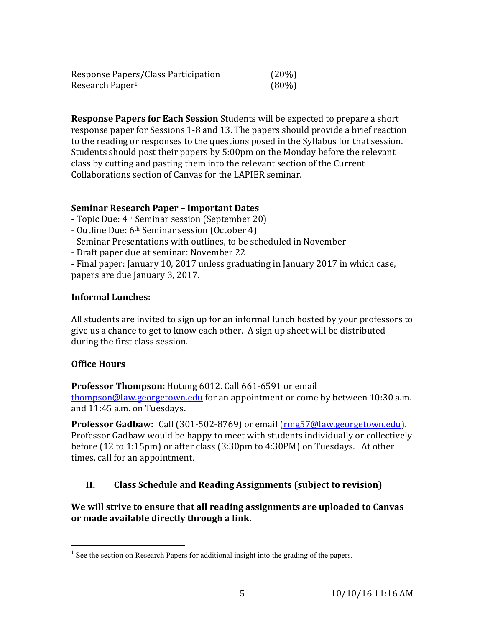| Response Papers/Class Participation | (20%)    |
|-------------------------------------|----------|
| Research Paper <sup>1</sup>         | $(80\%)$ |

**Response Papers for Each Session** Students will be expected to prepare a short response paper for Sessions 1-8 and 13. The papers should provide a brief reaction to the reading or responses to the questions posed in the Syllabus for that session. Students should post their papers by 5:00pm on the Monday before the relevant class by cutting and pasting them into the relevant section of the Current Collaborations section of Canvas for the LAPIER seminar.

### **Seminar Research Paper – Important Dates**

- Topic Due: 4th Seminar session (September 20)
- Outline Due: 6th Seminar session (October 4)
- Seminar Presentations with outlines, to be scheduled in November
- Draft paper due at seminar: November 22

- Final paper: January 10, 2017 unless graduating in January 2017 in which case, papers are due January 3, 2017.

# **Informal Lunches:**

All students are invited to sign up for an informal lunch hosted by your professors to give us a chance to get to know each other. A sign up sheet will be distributed during the first class session.

# **Office Hours**

**Professor Thompson:** Hotung 6012. Call 661-6591 or email thompson@law.georgetown.edu for an appointment or come by between 10:30 a.m. and 11:45 a.m. on Tuesdays.

**Professor Gadbaw:** Call (301-502-8769) or email (rmg57@law.georgetown.edu). Professor Gadbaw would be happy to meet with students individually or collectively before (12 to 1:15pm) or after class (3:30pm to 4:30PM) on Tuesdays. At other times, call for an appointment.

# **II. Class Schedule and Reading Assignments (subject to revision)**

**We will strive to ensure that all reading assignments are uploaded to Canvas or made available directly through a link.**

 $<sup>1</sup>$  See the section on Research Papers for additional insight into the grading of the papers.</sup>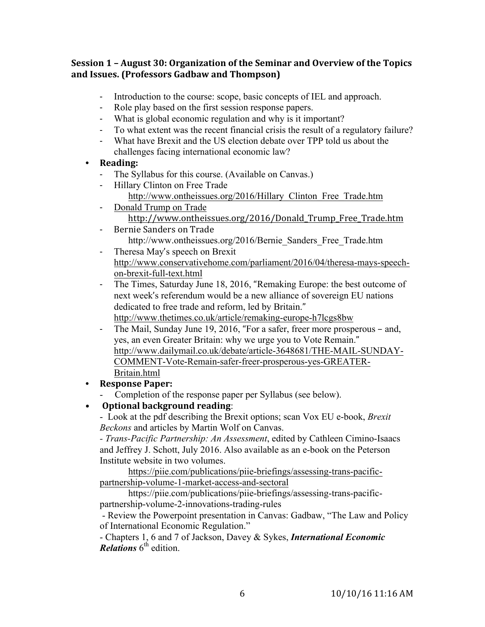### **Session 1 – August 30: Organization of the Seminar and Overview of the Topics and Issues. (Professors Gadbaw and Thompson)**

- Introduction to the course: scope, basic concepts of IEL and approach.
- Role play based on the first session response papers.
- What is global economic regulation and why is it important?
- To what extent was the recent financial crisis the result of a regulatory failure?
- What have Brexit and the US election debate over TPP told us about the challenges facing international economic law?
- **• Reading:**
	- The Syllabus for this course. (Available on Canvas.)
	- Hillary Clinton on Free Trade http://www.ontheissues.org/2016/Hillary\_Clinton\_Free\_Trade.htm
	- Donald Trump on Trade http://www.ontheissues.org/2016/Donald\_Trump\_Free\_Trade.htm
	- Bernie Sanders on Trade http://www.ontheissues.org/2016/Bernie\_Sanders\_Free\_Trade.htm
	- Theresa May's speech on Brexit http://www.conservativehome.com/parliament/2016/04/theresa-mays-speechon-brexit-full-text.html
	- The Times, Saturday June 18, 2016, "Remaking Europe: the best outcome of next week's referendum would be a new alliance of sovereign EU nations dedicated to free trade and reform, led by Britain." http://www.thetimes.co.uk/article/remaking-europe-h7lcgs8bw
	- The Mail, Sunday June 19, 2016, "For a safer, freer more prosperous and, yes, an even Greater Britain: why we urge you to Vote Remain." http://www.dailymail.co.uk/debate/article-3648681/THE-MAIL-SUNDAY-COMMENT-Vote-Remain-safer-freer-prosperous-yes-GREATER-Britain.html
- **• Response Paper:**
	- Completion of the response paper per Syllabus (see below).
- **Optional background reading**:

- Look at the pdf describing the Brexit options; scan Vox EU e-book, *Brexit Beckons* and articles by Martin Wolf on Canvas.

*- Trans-Pacific Partnership: An Assessment*, edited by Cathleen Cimino-Isaacs and Jeffrey J. Schott, July 2016. Also available as an e-book on the Peterson Institute website in two volumes.

https://piie.com/publications/piie-briefings/assessing-trans-pacificpartnership-volume-1-market-access-and-sectoral

https://piie.com/publications/piie-briefings/assessing-trans-pacificpartnership-volume-2-innovations-trading-rules

- Review the Powerpoint presentation in Canvas: Gadbaw, "The Law and Policy of International Economic Regulation."

- Chapters 1, 6 and 7 of Jackson, Davey & Sykes, *International Economic Relations* 6<sup>th</sup> edition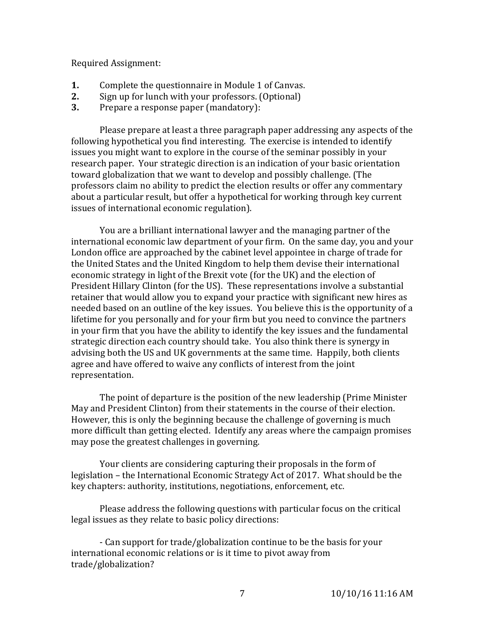Required Assignment:

- **1.** Complete the questionnaire in Module 1 of Canvas.
- **2.** Sign up for lunch with your professors. (Optional)
- **3.** Prepare a response paper (mandatory):

Please prepare at least a three paragraph paper addressing any aspects of the following hypothetical you find interesting. The exercise is intended to identify issues you might want to explore in the course of the seminar possibly in your research paper. Your strategic direction is an indication of your basic orientation toward globalization that we want to develop and possibly challenge. (The professors claim no ability to predict the election results or offer any commentary about a particular result, but offer a hypothetical for working through key current issues of international economic regulation).

You are a brilliant international lawyer and the managing partner of the international economic law department of your firm. On the same day, you and your London office are approached by the cabinet level appointee in charge of trade for the United States and the United Kingdom to help them devise their international economic strategy in light of the Brexit vote (for the UK) and the election of President Hillary Clinton (for the US). These representations involve a substantial retainer that would allow you to expand your practice with significant new hires as needed based on an outline of the key issues. You believe this is the opportunity of a lifetime for you personally and for your firm but you need to convince the partners in your firm that you have the ability to identify the key issues and the fundamental strategic direction each country should take. You also think there is synergy in advising both the US and UK governments at the same time. Happily, both clients agree and have offered to waive any conflicts of interest from the joint representation.

The point of departure is the position of the new leadership (Prime Minister May and President Clinton) from their statements in the course of their election. However, this is only the beginning because the challenge of governing is much more difficult than getting elected. Identify any areas where the campaign promises may pose the greatest challenges in governing.

Your clients are considering capturing their proposals in the form of legislation – the International Economic Strategy Act of 2017. What should be the key chapters: authority, institutions, negotiations, enforcement, etc.

Please address the following questions with particular focus on the critical legal issues as they relate to basic policy directions:

- Can support for trade/globalization continue to be the basis for your international economic relations or is it time to pivot away from trade/globalization?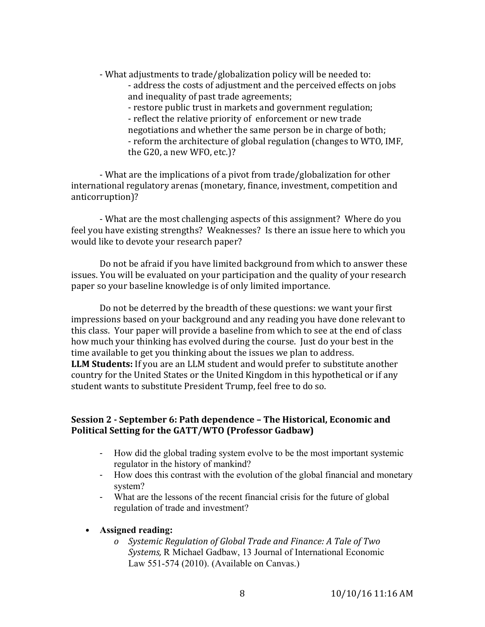- What adjustments to trade/globalization policy will be needed to:

- address the costs of adjustment and the perceived effects on jobs and inequality of past trade agreements;

- restore public trust in markets and government regulation; - reflect the relative priority of enforcement or new trade negotiations and whether the same person be in charge of both; - reform the architecture of global regulation (changes to WTO, IMF, the G20, a new WFO, etc.)?

- What are the implications of a pivot from trade/globalization for other international regulatory arenas (monetary, finance, investment, competition and anticorruption)?

- What are the most challenging aspects of this assignment? Where do you feel you have existing strengths? Weaknesses? Is there an issue here to which you would like to devote your research paper?

Do not be afraid if you have limited background from which to answer these issues. You will be evaluated on your participation and the quality of your research paper so your baseline knowledge is of only limited importance.

Do not be deterred by the breadth of these questions: we want your first impressions based on your background and any reading you have done relevant to this class. Your paper will provide a baseline from which to see at the end of class how much your thinking has evolved during the course. Just do your best in the time available to get you thinking about the issues we plan to address. **LLM Students:** If you are an LLM student and would prefer to substitute another country for the United States or the United Kingdom in this hypothetical or if any student wants to substitute President Trump, feel free to do so.

### **Session 2 - September 6: Path dependence – The Historical, Economic and Political Setting for the GATT/WTO (Professor Gadbaw)**

- How did the global trading system evolve to be the most important systemic regulator in the history of mankind?
- How does this contrast with the evolution of the global financial and monetary system?
- What are the lessons of the recent financial crisis for the future of global regulation of trade and investment?

#### • **Assigned reading:**

*o Systemic Regulation of Global Trade and Finance: A Tale of Two Systems,* R Michael Gadbaw, 13 Journal of International Economic Law 551-574 (2010). (Available on Canvas.)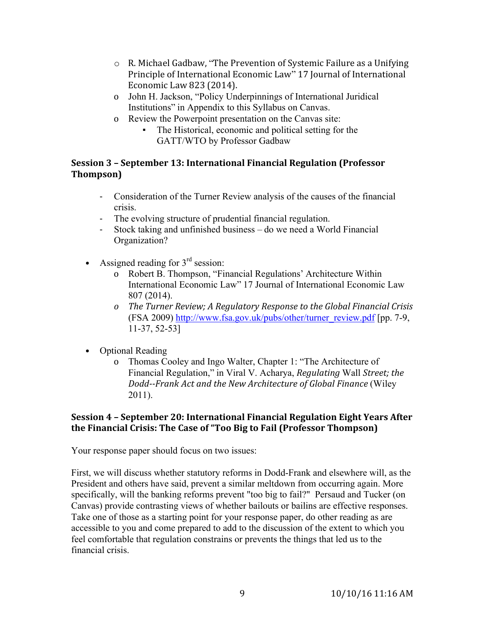- o R. Michael Gadbaw, "The Prevention of Systemic Failure as a Unifying Principle of International Economic Law" 17 Journal of International Economic Law 823 (2014).
- o John H. Jackson, "Policy Underpinnings of International Juridical Institutions" in Appendix to this Syllabus on Canvas.
- o Review the Powerpoint presentation on the Canvas site:
	- The Historical, economic and political setting for the GATT/WTO by Professor Gadbaw

# **Session 3 – September 13: International Financial Regulation (Professor Thompson)**

- Consideration of the Turner Review analysis of the causes of the financial crisis.
- The evolving structure of prudential financial regulation.
- Stock taking and unfinished business do we need a World Financial Organization?
- Assigned reading for  $3<sup>rd</sup>$  session:
	- o Robert B. Thompson, "Financial Regulations' Architecture Within International Economic Law" 17 Journal of International Economic Law 807 (2014).
	- *o The Turner Review; A Regulatory Response to the Global Financial Crisis* (FSA 2009) http://www.fsa.gov.uk/pubs/other/turner\_review.pdf [pp. 7-9, 11-37, 52-53]
- Optional Reading
	- o Thomas Cooley and Ingo Walter, Chapter 1: "The Architecture of Financial Regulation," in Viral V. Acharya, *Regulating* Wall *Street; the Dodd--Frank Act and the New Architecture of Global Finance* (Wiley 2011).

# **Session 4 – September 20: International Financial Regulation Eight Years After the Financial Crisis: The Case of "Too Big to Fail (Professor Thompson)**

Your response paper should focus on two issues:

First, we will discuss whether statutory reforms in Dodd-Frank and elsewhere will, as the President and others have said, prevent a similar meltdown from occurring again. More specifically, will the banking reforms prevent "too big to fail?" Persaud and Tucker (on Canvas) provide contrasting views of whether bailouts or bailins are effective responses. Take one of those as a starting point for your response paper, do other reading as are accessible to you and come prepared to add to the discussion of the extent to which you feel comfortable that regulation constrains or prevents the things that led us to the financial crisis.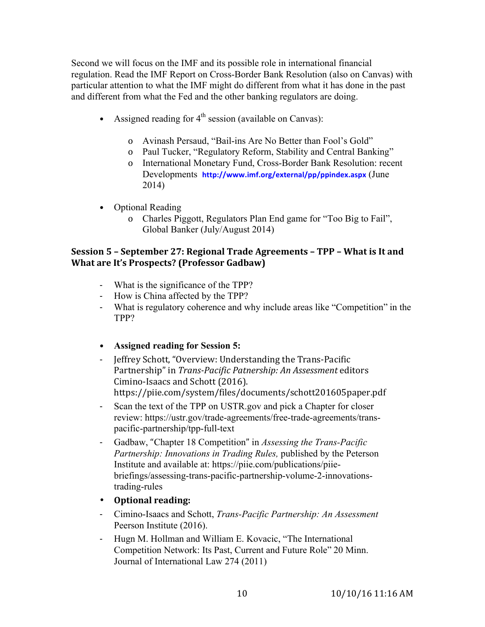Second we will focus on the IMF and its possible role in international financial regulation. Read the IMF Report on Cross-Border Bank Resolution (also on Canvas) with particular attention to what the IMF might do different from what it has done in the past and different from what the Fed and the other banking regulators are doing.

- Assigned reading for  $4<sup>th</sup>$  session (available on Canvas):
	- o Avinash Persaud, "Bail-ins Are No Better than Fool's Gold"
	- o Paul Tucker, "Regulatory Reform, Stability and Central Banking"
	- o International Monetary Fund, Cross-Border Bank Resolution: recent Developments **http://www.imf.org/external/pp/ppindex.aspx** (June 2014)
- Optional Reading
	- o Charles Piggott, Regulators Plan End game for "Too Big to Fail", Global Banker (July/August 2014)

### **Session 5 – September 27: Regional Trade Agreements – TPP – What is It and What are It's Prospects? (Professor Gadbaw)**

- What is the significance of the TPP?
- How is China affected by the TPP?
- What is regulatory coherence and why include areas like "Competition" in the TPP?
- **Assigned reading for Session 5:**
- Jeffrey Schott, "Overview: Understanding the Trans-Pacific Partnership" in *Trans-Pacific Patnership: An Assessment* editors Cimino-Isaacs and Schott (2016). https://piie.com/system/files/documents/schott201605paper.pdf
- Scan the text of the TPP on USTR.gov and pick a Chapter for closer review: https://ustr.gov/trade-agreements/free-trade-agreements/transpacific-partnership/tpp-full-text
- Gadbaw, "Chapter 18 Competition" in *Assessing the Trans-Pacific Partnership: Innovations in Trading Rules,* published by the Peterson Institute and available at: https://piie.com/publications/piiebriefings/assessing-trans-pacific-partnership-volume-2-innovationstrading-rules
- **Optional reading:**
- Cimino-Isaacs and Schott, *Trans-Pacific Partnership: An Assessment* Peerson Institute (2016).
- Hugn M. Hollman and William E. Kovacic, "The International Competition Network: Its Past, Current and Future Role" 20 Minn. Journal of International Law 274 (2011)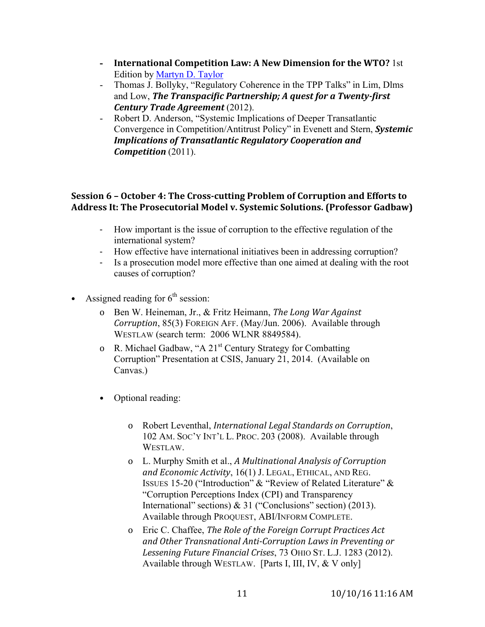- **- International Competition Law: A New Dimension for the WTO?** 1st Edition by Martyn D. Taylor
- Thomas J. Bollyky, "Regulatory Coherence in the TPP Talks" in Lim, Dlms and Low, *The Transpacific Partnership; A quest for a Twenty-first Century Trade Agreement* (2012).
- Robert D. Anderson, "Systemic Implications of Deeper Transatlantic Convergence in Competition/Antitrust Policy" in Evenett and Stern, *Systemic Implications of Transatlantic Regulatory Cooperation and Competition* (2011).

### **Session 6 – October 4: The Cross-cutting Problem of Corruption and Efforts to Address It: The Prosecutorial Model v. Systemic Solutions. (Professor Gadbaw)**

- How important is the issue of corruption to the effective regulation of the international system?
- How effective have international initiatives been in addressing corruption?
- Is a prosecution model more effective than one aimed at dealing with the root causes of corruption?
- Assigned reading for  $6<sup>th</sup>$  session:
	- o Ben W. Heineman, Jr., & Fritz Heimann, *The Long War Against Corruption*, 85(3) FOREIGN AFF. (May/Jun. 2006). Available through WESTLAW (search term: 2006 WLNR 8849584).
	- o R. Michael Gadbaw, "A 21st Century Strategy for Combatting Corruption" Presentation at CSIS, January 21, 2014. (Available on Canvas.)
	- Optional reading:
		- o Robert Leventhal, *International Legal Standards on Corruption*, 102 AM. SOC'Y INT'L L. PROC. 203 (2008). Available through WESTLAW.
		- o L. Murphy Smith et al., *A Multinational Analysis of Corruption and Economic Activity*, 16(1) J. LEGAL, ETHICAL, AND REG. ISSUES 15-20 ("Introduction" & "Review of Related Literature" & "Corruption Perceptions Index (CPI) and Transparency International" sections) & 31 ("Conclusions" section) (2013). Available through PROQUEST, ABI/INFORM COMPLETE.
		- o Eric C. Chaffee, *The Role of the Foreign Corrupt Practices Act and Other Transnational Anti-Corruption Laws in Preventing or Lessening Future Financial Crises*, 73 OHIO ST. L.J. 1283 (2012). Available through WESTLAW. [Parts I, III, IV, & V only]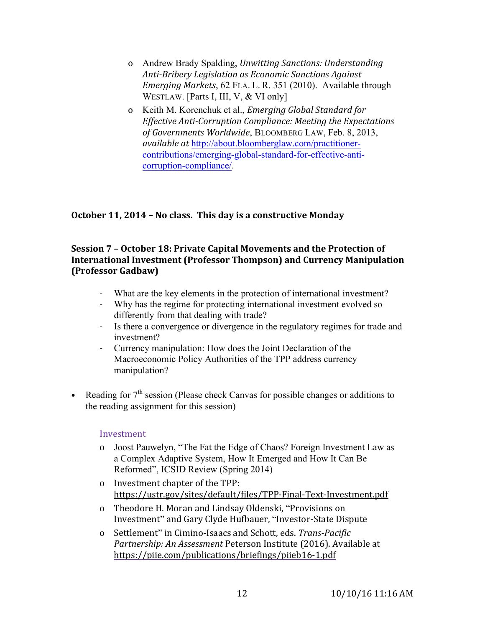- o Andrew Brady Spalding, *Unwitting Sanctions: Understanding Anti-Bribery Legislation as Economic Sanctions Against Emerging Markets*, 62 FLA. L. R. 351 (2010). Available through WESTLAW. [Parts I, III, V, & VI only]
- o Keith M. Korenchuk et al., *Emerging Global Standard for Effective Anti-Corruption Compliance: Meeting the Expectations of Governments Worldwide*, BLOOMBERG LAW, Feb. 8, 2013, *available at* http://about.bloomberglaw.com/practitionercontributions/emerging-global-standard-for-effective-anticorruption-compliance/.

# **October 11, 2014 – No class. This day is a constructive Monday**

### **Session 7 – October 18: Private Capital Movements and the Protection of International Investment (Professor Thompson) and Currency Manipulation (Professor Gadbaw)**

- What are the key elements in the protection of international investment?
- Why has the regime for protecting international investment evolved so differently from that dealing with trade?
- Is there a convergence or divergence in the regulatory regimes for trade and investment?
- Currency manipulation: How does the Joint Declaration of the Macroeconomic Policy Authorities of the TPP address currency manipulation?
- Reading for  $7<sup>th</sup>$  session (Please check Canvas for possible changes or additions to the reading assignment for this session)

#### Investment

- o Joost Pauwelyn, "The Fat the Edge of Chaos? Foreign Investment Law as a Complex Adaptive System, How It Emerged and How It Can Be Reformed", ICSID Review (Spring 2014)
- o Investment chapter of the TPP: https://ustr.gov/sites/default/files/TPP-Final-Text-Investment.pdf
- o Theodore H. Moran and Lindsay Oldenski, "Provisions on Investment" and Gary Clyde Hufbauer, "Investor-State Dispute
- o Settlement" in Cimino-Isaacs and Schott, eds. *Trans-Pacific Partnership: An Assessment* Peterson Institute (2016). Available at https://piie.com/publications/briefings/piieb16-1.pdf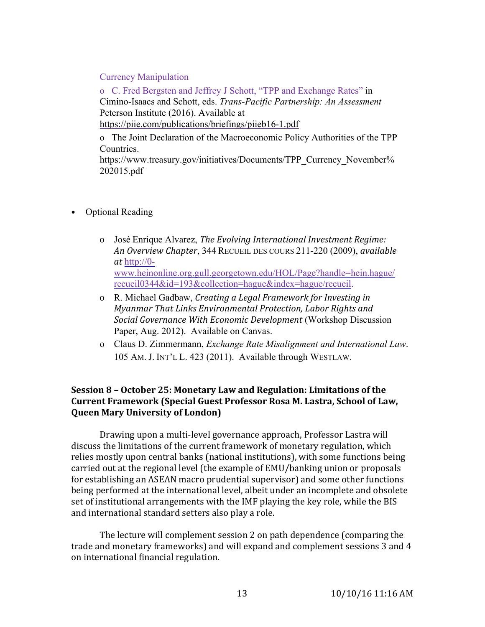#### Currency Manipulation

o C. Fred Bergsten and Jeffrey J Schott, "TPP and Exchange Rates" in Cimino-Isaacs and Schott, eds. *Trans-Pacific Partnership: An Assessment* Peterson Institute (2016). Available at https://piie.com/publications/briefings/piieb16-1.pdf

o The Joint Declaration of the Macroeconomic Policy Authorities of the TPP Countries.

https://www.treasury.gov/initiatives/Documents/TPP\_Currency\_November% 202015.pdf

- Optional Reading
	- o José Enrique Alvarez, *The Evolving International Investment Regime: An Overview Chapter*, 344 RECUEIL DES COURS 211-220 (2009), *available at* http://0 www.heinonline.org.gull.georgetown.edu/HOL/Page?handle=hein.hague/ recueil0344&id=193&collection=hague&index=hague/recueil.
	- o R. Michael Gadbaw, *Creating a Legal Framework for Investing in Myanmar That Links Environmental Protection, Labor Rights and Social Governance With Economic Development* (Workshop Discussion Paper, Aug. 2012). Available on Canvas.
	- o Claus D. Zimmermann, *Exchange Rate Misalignment and International Law*. 105 AM. J. INT'L L. 423 (2011). Available through WESTLAW.

### **Session 8 – October 25: Monetary Law and Regulation: Limitations of the Current Framework (Special Guest Professor Rosa M. Lastra, School of Law, Queen Mary University of London)**

Drawing upon a multi-level governance approach, Professor Lastra will discuss the limitations of the current framework of monetary regulation, which relies mostly upon central banks (national institutions), with some functions being carried out at the regional level (the example of EMU/banking union or proposals for establishing an ASEAN macro prudential supervisor) and some other functions being performed at the international level, albeit under an incomplete and obsolete set of institutional arrangements with the IMF playing the key role, while the BIS and international standard setters also play a role.

The lecture will complement session 2 on path dependence (comparing the trade and monetary frameworks) and will expand and complement sessions 3 and 4 on international financial regulation.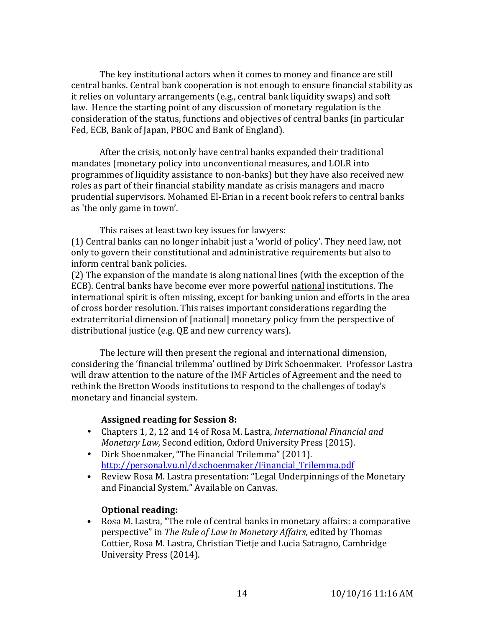The key institutional actors when it comes to money and finance are still central banks. Central bank cooperation is not enough to ensure financial stability as it relies on voluntary arrangements (e.g., central bank liquidity swaps) and soft law. Hence the starting point of any discussion of monetary regulation is the consideration of the status, functions and objectives of central banks (in particular Fed, ECB, Bank of Japan, PBOC and Bank of England).

After the crisis, not only have central banks expanded their traditional mandates (monetary policy into unconventional measures, and LOLR into programmes of liquidity assistance to non-banks) but they have also received new roles as part of their financial stability mandate as crisis managers and macro prudential supervisors. Mohamed El-Erian in a recent book refers to central banks as 'the only game in town'.

This raises at least two key issues for lawyers:

(1) Central banks can no longer inhabit just a 'world of policy'. They need law, not only to govern their constitutional and administrative requirements but also to inform central bank policies.

(2) The expansion of the mandate is along national lines (with the exception of the ECB). Central banks have become ever more powerful national institutions. The international spirit is often missing, except for banking union and efforts in the area of cross border resolution. This raises important considerations regarding the extraterritorial dimension of [national] monetary policy from the perspective of distributional justice (e.g. QE and new currency wars).

The lecture will then present the regional and international dimension, considering the 'financial trilemma' outlined by Dirk Schoenmaker. Professor Lastra will draw attention to the nature of the IMF Articles of Agreement and the need to rethink the Bretton Woods institutions to respond to the challenges of today's monetary and financial system.

#### **Assigned reading for Session 8:**

- Chapters 1, 2, 12 and 14 of Rosa M. Lastra, *International Financial and Monetary Law,* Second edition, Oxford University Press (2015).
- Dirk Shoenmaker, "The Financial Trilemma" (2011). http://personal.vu.nl/d.schoenmaker/Financial\_Trilemma.pdf
- Review Rosa M. Lastra presentation: "Legal Underpinnings of the Monetary and Financial System." Available on Canvas.

#### **Optional reading:**

• Rosa M. Lastra, "The role of central banks in monetary affairs: a comparative perspective" in *The Rule of Law in Monetary Affairs,* edited by Thomas Cottier, Rosa M. Lastra, Christian Tietje and Lucia Satragno, Cambridge University Press (2014).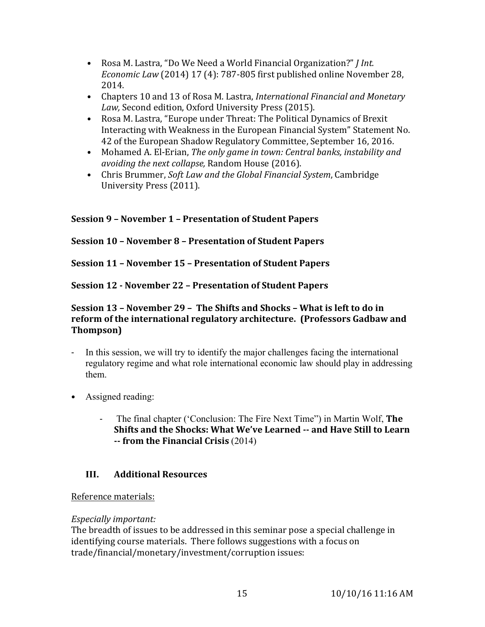- Rosa M. Lastra, "Do We Need a World Financial Organization?" *J Int. Economic Law* (2014) 17 (4): 787-805 first published online November 28, 2014.
- Chapters 10 and 13 of Rosa M. Lastra, *International Financial and Monetary Law,* Second edition, Oxford University Press (2015).
- Rosa M. Lastra, "Europe under Threat: The Political Dynamics of Brexit Interacting with Weakness in the European Financial System" Statement No. 42 of the European Shadow Regulatory Committee, September 16, 2016.
- Mohamed A. El-Erian, *The only game in town: Central banks, instability and avoiding the next collapse,* Random House (2016).
- Chris Brummer, *Soft Law and the Global Financial System*, Cambridge University Press (2011).

# **Session 9 – November 1 – Presentation of Student Papers**

# **Session 10 – November 8 – Presentation of Student Papers**

**Session 11 – November 15 – Presentation of Student Papers**

**Session 12 - November 22 – Presentation of Student Papers**

### **Session 13 – November 29 – The Shifts and Shocks – What is left to do in reform of the international regulatory architecture. (Professors Gadbaw and Thompson)**

- In this session, we will try to identify the major challenges facing the international regulatory regime and what role international economic law should play in addressing them.
- Assigned reading:
	- The final chapter ('Conclusion: The Fire Next Time") in Martin Wolf, **The Shifts and the Shocks: What We've Learned -- and Have Still to Learn -- from the Financial Crisis** (2014)

# **III. Additional Resources**

# Reference materials:

# *Especially important:*

The breadth of issues to be addressed in this seminar pose a special challenge in identifying course materials. There follows suggestions with a focus on trade/financial/monetary/investment/corruption issues: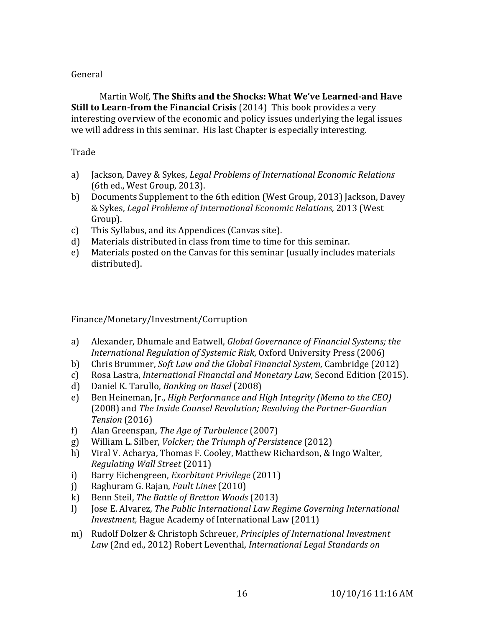### General

Martin Wolf, **The Shifts and the Shocks: What We've Learned-and Have Still to Learn-from the Financial Crisis** (2014) This book provides a very interesting overview of the economic and policy issues underlying the legal issues we will address in this seminar. His last Chapter is especially interesting.

### Trade

- a) Jackson, Davey & Sykes, *Legal Problems of International Economic Relations* (6th ed., West Group, 2013).
- b) Documents Supplement to the 6th edition (West Group, 2013) Jackson, Davey & Sykes, *Legal Problems of International Economic Relations,* 2013 (West Group).
- c) This Syllabus, and its Appendices (Canvas site).
- d) Materials distributed in class from time to time for this seminar.
- e) Materials posted on the Canvas for this seminar (usually includes materials distributed).

### Finance/Monetary/Investment/Corruption

- a) Alexander, Dhumale and Eatwell, *Global Governance of Financial Systems; the International Regulation of Systemic Risk*, Oxford University Press (2006)
- b) Chris Brummer, *Soft Law and the Global Financial System,* Cambridge (2012)
- c) Rosa Lastra, *International Financial and Monetary Law,* Second Edition (2015).
- d) Daniel K. Tarullo, *Banking on Basel* (2008)
- e) Ben Heineman, Jr., *High Performance and High Integrity (Memo to the CEO)* (2008) and *The Inside Counsel Revolution; Resolving the Partner-Guardian Tension* (2016)
- f) Alan Greenspan, *The Age of Turbulence* (2007)
- g) William L. Silber, *Volcker; the Triumph of Persistence* (2012)
- h) Viral V. Acharya, Thomas F. Cooley, Matthew Richardson, & Ingo Walter, *Regulating Wall Street* (2011)
- i) Barry Eichengreen, *Exorbitant Privilege* (2011)
- j) Raghuram G. Rajan, *Fault Lines* (2010)
- k) Benn Steil, *The Battle of Bretton Woods* (2013)
- l) Jose E. Alvarez, *The Public International Law Regime Governing International Investment,* Hague Academy of International Law (2011)
- m) Rudolf Dolzer & Christoph Schreuer, *Principles of International Investment Law* (2nd ed., 2012) Robert Leventhal, *International Legal Standards on*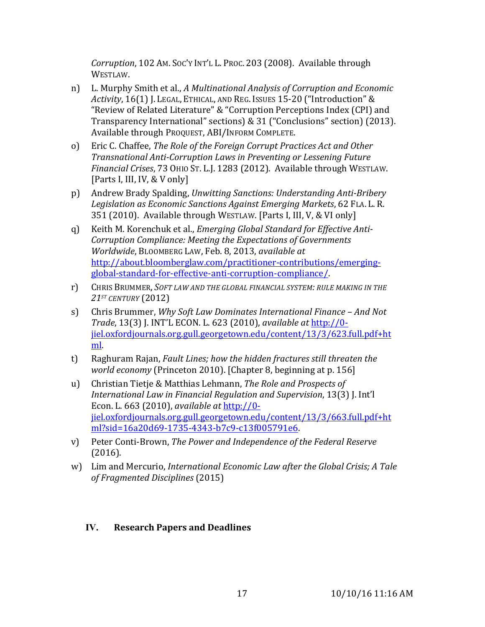*Corruption*, 102 AM. SOC'Y INT'L L. PROC. 203 (2008). Available through WESTLAW.

- n) L. Murphy Smith et al., *A Multinational Analysis of Corruption and Economic Activity*, 16(1) J. LEGAL, ETHICAL, AND REG. ISSUES 15-20 ("Introduction" & "Review of Related Literature" & "Corruption Perceptions Index (CPI) and Transparency International" sections) & 31 ("Conclusions" section) (2013). Available through PROQUEST, ABI/INFORM COMPLETE.
- o) Eric C. Chaffee, *The Role of the Foreign Corrupt Practices Act and Other Transnational Anti-Corruption Laws in Preventing or Lessening Future Financial Crises*, 73 OHIO ST. L.J. 1283 (2012). Available through WESTLAW. [Parts I, III, IV, & V only]
- p) Andrew Brady Spalding, *Unwitting Sanctions: Understanding Anti-Bribery Legislation as Economic Sanctions Against Emerging Markets*, 62 FLA. L. R. 351 (2010). Available through WESTLAW. [Parts I, III, V, & VI only]
- q) Keith M. Korenchuk et al., *Emerging Global Standard for Effective Anti-Corruption Compliance: Meeting the Expectations of Governments Worldwide*, BLOOMBERG LAW, Feb. 8, 2013, *available at* http://about.bloomberglaw.com/practitioner-contributions/emergingglobal-standard-for-effective-anti-corruption-compliance/.
- r) CHRIS BRUMMER, *SOFT LAW AND THE GLOBAL FINANCIAL SYSTEM: RULE MAKING IN THE 21ST CENTURY* (2012)
- s) Chris Brummer, *Why Soft Law Dominates International Finance – And Not Trade*, 13(3) J. INT'L ECON. L. 623 (2010), *available at* http://0 jiel.oxfordjournals.org.gull.georgetown.edu/content/13/3/623.full.pdf+ht ml.
- t) Raghuram Rajan, *Fault Lines; how the hidden fractures still threaten the world economy* (Princeton 2010). [Chapter 8, beginning at p. 156]
- u) Christian Tietje & Matthias Lehmann, *The Role and Prospects of International Law in Financial Regulation and Supervision*, 13(3) J. Int'l Econ. L. 663 (2010), *available at* http://0 jiel.oxfordjournals.org.gull.georgetown.edu/content/13/3/663.full.pdf+ht ml?sid=16a20d69-1735-4343-b7c9-c13f005791e6.
- v) Peter Conti-Brown, *The Power and Independence of the Federal Reserve* (2016).
- w) Lim and Mercurio, *International Economic Law after the Global Crisis; A Tale of Fragmented Disciplines* (2015)

# **IV. Research Papers and Deadlines**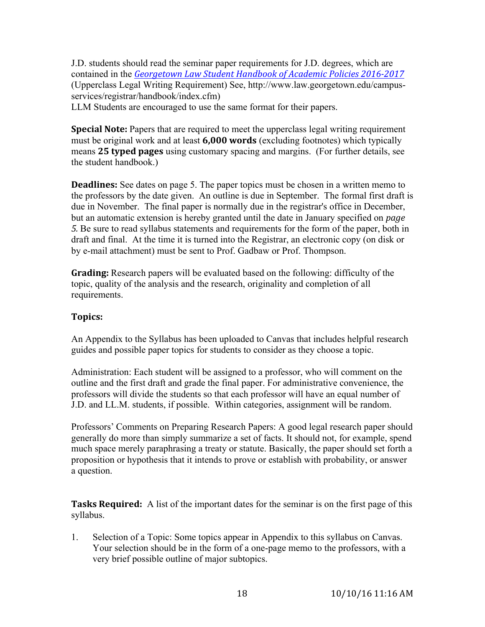J.D. students should read the seminar paper requirements for J.D. degrees, which are contained in the *Georgetown Law Student Handbook of Academic Policies 2016-2017* (Upperclass Legal Writing Requirement) See, http://www.law.georgetown.edu/campusservices/registrar/handbook/index.cfm)

LLM Students are encouraged to use the same format for their papers.

**Special Note:** Papers that are required to meet the upperclass legal writing requirement must be original work and at least **6,000 words** (excluding footnotes) which typically means **25 typed pages** using customary spacing and margins. (For further details, see the student handbook.)

**Deadlines:** See dates on page 5. The paper topics must be chosen in a written memo to the professors by the date given. An outline is due in September. The formal first draft is due in November. The final paper is normally due in the registrar's office in December, but an automatic extension is hereby granted until the date in January specified on *page 5.* Be sure to read syllabus statements and requirements for the form of the paper, both in draft and final. At the time it is turned into the Registrar, an electronic copy (on disk or by e-mail attachment) must be sent to Prof. Gadbaw or Prof. Thompson.

**Grading:** Research papers will be evaluated based on the following: difficulty of the topic, quality of the analysis and the research, originality and completion of all requirements.

# **Topics:**

An Appendix to the Syllabus has been uploaded to Canvas that includes helpful research guides and possible paper topics for students to consider as they choose a topic.

Administration: Each student will be assigned to a professor, who will comment on the outline and the first draft and grade the final paper. For administrative convenience, the professors will divide the students so that each professor will have an equal number of J.D. and LL.M. students, if possible. Within categories, assignment will be random.

Professors' Comments on Preparing Research Papers: A good legal research paper should generally do more than simply summarize a set of facts. It should not, for example, spend much space merely paraphrasing a treaty or statute. Basically, the paper should set forth a proposition or hypothesis that it intends to prove or establish with probability, or answer a question.

**Tasks Required:** A list of the important dates for the seminar is on the first page of this syllabus.

1. Selection of a Topic: Some topics appear in Appendix to this syllabus on Canvas. Your selection should be in the form of a one-page memo to the professors, with a very brief possible outline of major subtopics.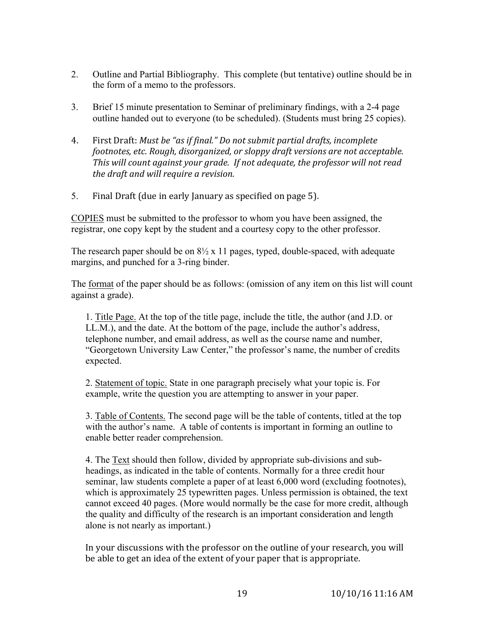- 2. Outline and Partial Bibliography. This complete (but tentative) outline should be in the form of a memo to the professors.
- 3. Brief 15 minute presentation to Seminar of preliminary findings, with a 2-4 page outline handed out to everyone (to be scheduled). (Students must bring 25 copies).
- 4. First Draft: *Must be "as if final." Do not submit partial drafts, incomplete footnotes, etc. Rough, disorganized, or sloppy draft versions are not acceptable. This will count against your grade. If not adequate, the professor will not read the draft and will require a revision.*
- 5. Final Draft (due in early January as specified on page 5).

COPIES must be submitted to the professor to whom you have been assigned, the registrar, one copy kept by the student and a courtesy copy to the other professor.

The research paper should be on  $8\frac{1}{2}$  x 11 pages, typed, double-spaced, with adequate margins, and punched for a 3-ring binder.

The format of the paper should be as follows: (omission of any item on this list will count against a grade).

1. Title Page. At the top of the title page, include the title, the author (and J.D. or LL.M.), and the date. At the bottom of the page, include the author's address, telephone number, and email address, as well as the course name and number, "Georgetown University Law Center," the professor's name, the number of credits expected.

2. Statement of topic. State in one paragraph precisely what your topic is. For example, write the question you are attempting to answer in your paper.

3. Table of Contents. The second page will be the table of contents, titled at the top with the author's name. A table of contents is important in forming an outline to enable better reader comprehension.

4. The Text should then follow, divided by appropriate sub-divisions and subheadings, as indicated in the table of contents. Normally for a three credit hour seminar, law students complete a paper of at least 6,000 word (excluding footnotes), which is approximately 25 typewritten pages. Unless permission is obtained, the text cannot exceed 40 pages. (More would normally be the case for more credit, although the quality and difficulty of the research is an important consideration and length alone is not nearly as important.)

In your discussions with the professor on the outline of your research, you will be able to get an idea of the extent of your paper that is appropriate.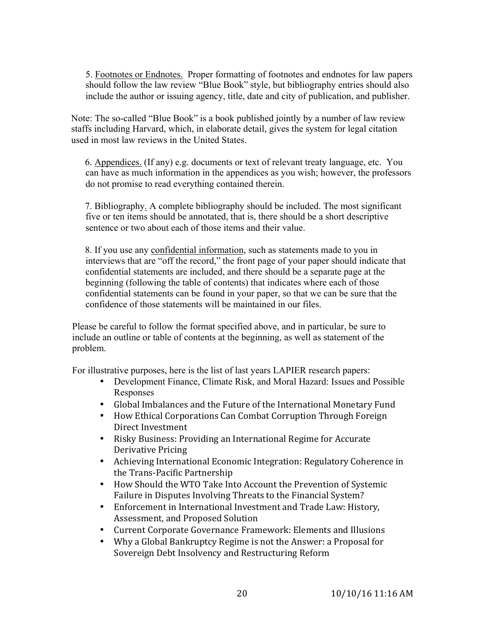5. Footnotes or Endnotes. Proper formatting of footnotes and endnotes for law papers should follow the law review "Blue Book" style, but bibliography entries should also include the author or issuing agency, title, date and city of publication, and publisher.

Note: The so-called "Blue Book" is a book published jointly by a number of law review staffs including Harvard, which, in elaborate detail, gives the system for legal citation used in most law reviews in the United States.

6. Appendices. (If any) e.g. documents or text of relevant treaty language, etc. You can have as much information in the appendices as you wish; however, the professors do not promise to read everything contained therein.

7. Bibliography. A complete bibliography should be included. The most significant five or ten items should be annotated, that is, there should be a short descriptive sentence or two about each of those items and their value.

8. If you use any confidential information, such as statements made to you in interviews that are "off the record," the front page of your paper should indicate that confidential statements are included, and there should be a separate page at the beginning (following the table of contents) that indicates where each of those confidential statements can be found in your paper, so that we can be sure that the confidence of those statements will be maintained in our files.

Please be careful to follow the format specified above, and in particular, be sure to include an outline or table of contents at the beginning, as well as statement of the problem.

For illustrative purposes, here is the list of last years LAPIER research papers:

- Development Finance, Climate Risk, and Moral Hazard: Issues and Possible Responses
- Global Imbalances and the Future of the International Monetary Fund
- How Ethical Corporations Can Combat Corruption Through Foreign Direct Investment
- Risky Business: Providing an International Regime for Accurate Derivative Pricing
- Achieving International Economic Integration: Regulatory Coherence in the Trans-Pacific Partnership
- How Should the WTO Take Into Account the Prevention of Systemic Failure in Disputes Involving Threats to the Financial System?
- Enforcement in International Investment and Trade Law: History, Assessment, and Proposed Solution
- Current Corporate Governance Framework: Elements and Illusions
- Why a Global Bankruptcy Regime is not the Answer: a Proposal for Sovereign Debt Insolvency and Restructuring Reform